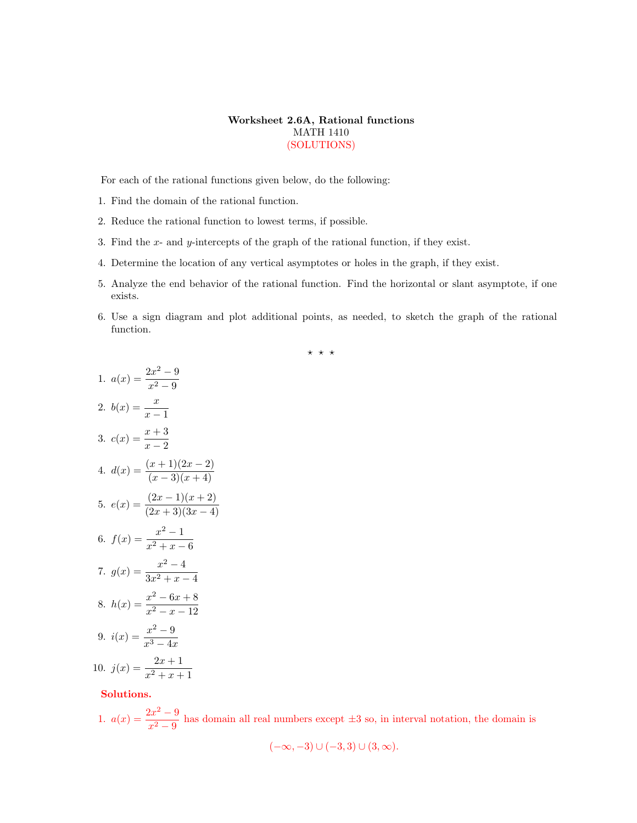## Worksheet 2.6A, Rational functions MATH 1410 (SOLUTIONS)

For each of the rational functions given below, do the following:

- 1. Find the domain of the rational function.
- 2. Reduce the rational function to lowest terms, if possible.
- 3. Find the x- and y-intercepts of the graph of the rational function, if they exist.
- 4. Determine the location of any vertical asymptotes or holes in the graph, if they exist.
- 5. Analyze the end behavior of the rational function. Find the horizontal or slant asymptote, if one exists.
- 6. Use a sign diagram and plot additional points, as needed, to sketch the graph of the rational function.

 $\star \star \star$ 

1. 
$$
a(x) = \frac{2x^2 - 9}{x^2 - 9}
$$
  
\n2.  $b(x) = \frac{x}{x - 1}$   
\n3.  $c(x) = \frac{x + 3}{x - 2}$   
\n4.  $d(x) = \frac{(x + 1)(2x - 2)}{(x - 3)(x + 4)}$   
\n5.  $e(x) = \frac{(2x - 1)(x + 2)}{(2x + 3)(3x - 4)}$   
\n6.  $f(x) = \frac{x^2 - 1}{x^2 + x - 6}$   
\n7.  $g(x) = \frac{x^2 - 4}{3x^2 + x - 4}$   
\n8.  $h(x) = \frac{x^2 - 6x + 8}{x^2 - x - 12}$   
\n9.  $i(x) = \frac{x^2 - 9}{x^3 - 4x}$   
\n10.  $j(x) = \frac{2x + 1}{x^2 + x + 1}$ 

Solutions.

1.  $a(x) = \frac{2x^2 - 9}{x^2 - 9}$  $\frac{2x-2}{x^2-9}$  has domain all real numbers except  $\pm 3$  so, in interval notation, the domain is

$$
(-\infty, -3) \cup (-3, 3) \cup (3, \infty).
$$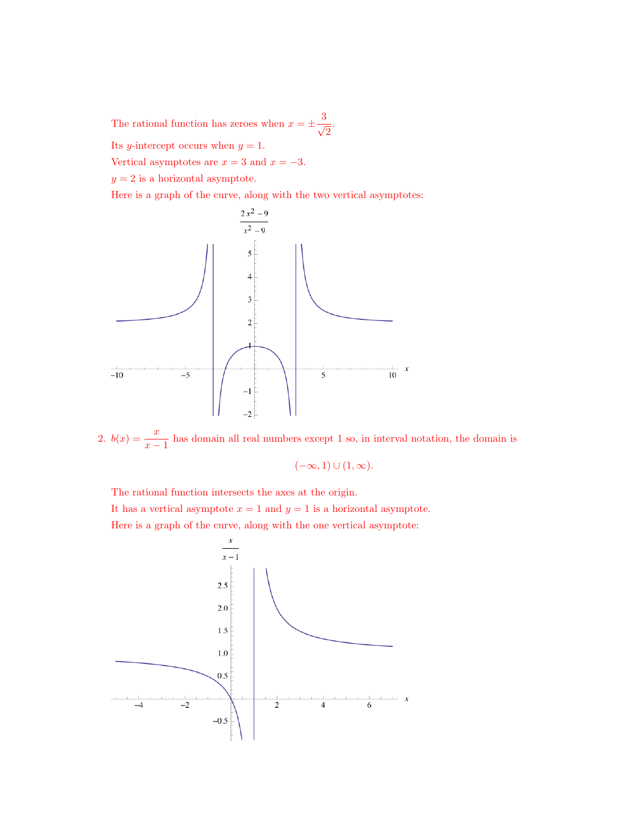The rational function has zeroes when  $x = \pm \frac{3}{4}$  $\frac{1}{2}$ .

Its *y*-intercept occurs when  $y = 1$ .

Vertical asymptotes are  $x = 3$  and  $x = -3$ .

 $y = 2$  is a horizontal asymptote.

Here is a graph of the curve, along with the two vertical asymptotes:



2.  $b(x) = \frac{x}{x-1}$  has domain all real numbers except 1 so, in interval notation, the domain is

$$
(-\infty,1)\cup(1,\infty).
$$

The rational function intersects the axes at the origin.

It has a vertical asymptote  $x = 1$  and  $y = 1$  is a horizontal asymptote.

Here is a graph of the curve, along with the one vertical asymptote:

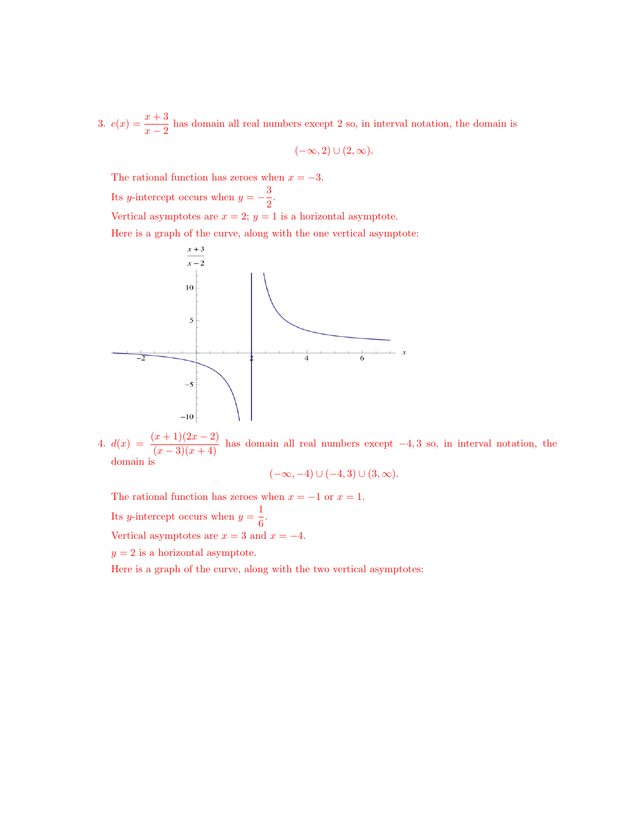3.  $c(x) = \frac{x+3}{x-2}$  has domain all real numbers except 2 so, in interval notation, the domain is

$$
(-\infty,2)\cup(2,\infty).
$$

The rational function has zeroes when  $x = -3$ .

Its y-intercept occurs when  $y = -\frac{3}{5}$  $\frac{6}{2}$ .

Vertical asymptotes are  $x = 2$ ;  $y = 1$  is a horizontal asymptote.

Here is a graph of the curve, along with the one vertical asymptote:



4.  $d(x) = \frac{(x+1)(2x-2)}{(x-3)(x+4)}$  has domain all real numbers except -4, 3 so, in interval notation, the domain is

$$
(-\infty, -4) \cup (-4, 3) \cup (3, \infty).
$$

The rational function has zeroes when  $x = -1$  or  $x = 1$ . Its *y*-intercept occurs when  $y = \frac{1}{6}$  $\frac{1}{6}$ .

Vertical asymptotes are  $x = 3$  and  $x = -4$ .

 $y = 2$  is a horizontal asymptote.

Here is a graph of the curve, along with the two vertical asymptotes: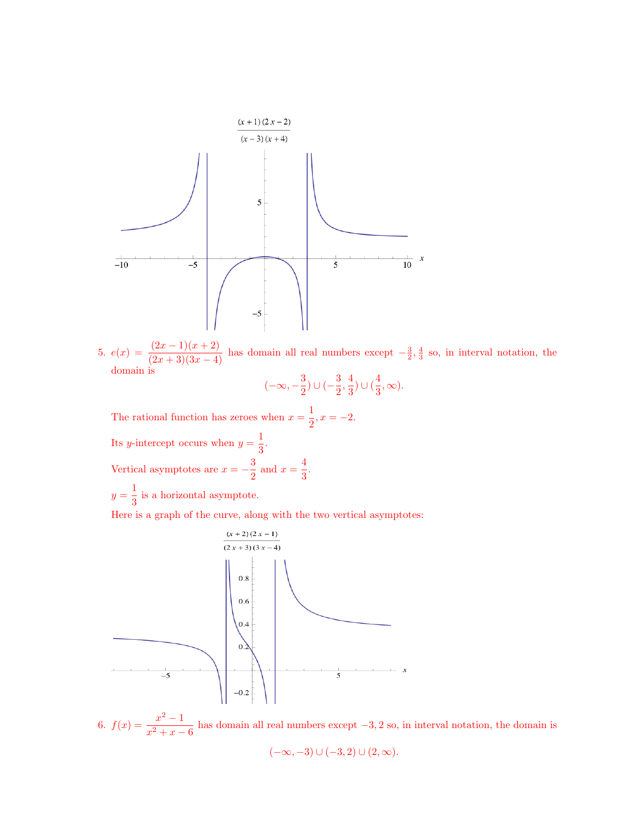

5.  $e(x) = \frac{(2x-1)(x+2)}{(2x+3)(3x-4)}$  has domain all real numbers except  $-\frac{3}{2}, \frac{4}{3}$  so, in interval notation, the domain is  $\begin{array}{c}3\end{array}$   $\begin{array}{c}3\end{array}$   $\begin{array}{c}4\end{array}$ 

$$
(-\infty, -\frac{3}{2}) \cup (-\frac{3}{2}, \frac{4}{3}) \cup (\frac{4}{3}, \infty).
$$

The rational function has zeroes when  $x=\frac{1}{2}$  $\frac{1}{2}$ ,  $x = -2$ . Its *y*-intercept occurs when  $y = \frac{1}{2}$  $\frac{1}{3}$ . Vertical asymptotes are  $x = -\frac{3}{8}$  $\frac{3}{2}$  and  $x = \frac{4}{3}$  $\frac{1}{3}$ .  $y=\frac{1}{2}$ 

 $\frac{1}{3}$  is a horizontal asymptote. Here is a graph of the curve, along with the two vertical asymptotes:



6.  $f(x) = \frac{x^2 - 1}{x}$  $\frac{x^2}{x^2+x-6}$  has domain all real numbers except  $-3,2$  so, in interval notation, the domain is

$$
(-\infty,-3) \cup (-3,2) \cup (2,\infty).
$$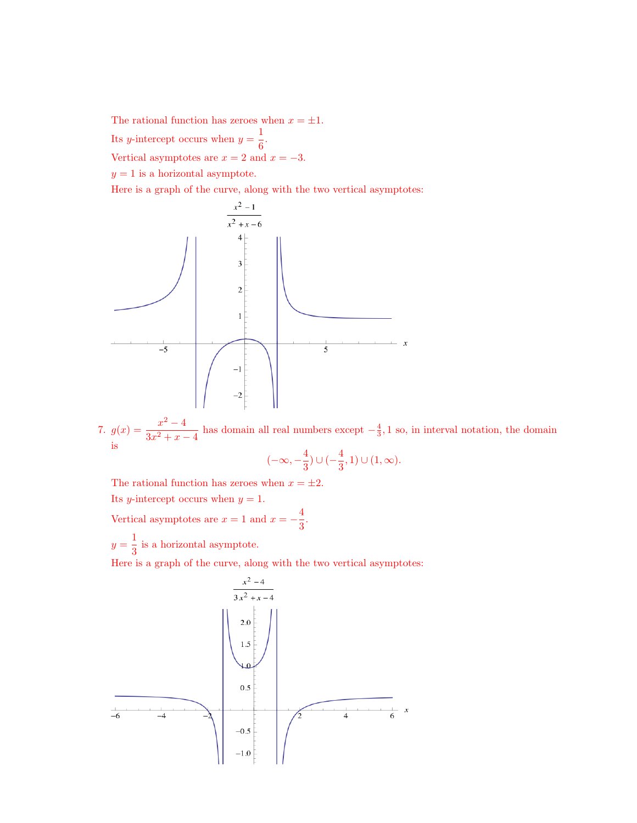The rational function has zeroes when  $x = \pm 1$ . Its *y*-intercept occurs when  $y = \frac{1}{6}$  $\frac{1}{6}$ . Vertical asymptotes are  $x = 2$  and  $x = -3$ .  $y = 1$  is a horizontal asymptote.

Here is a graph of the curve, along with the two vertical asymptotes:



7.  $g(x) = \frac{x^2 - 4}{2x^2-4}$  $\frac{x}{3x^2 + x - 4}$  has domain all real numbers except  $-\frac{4}{3}$ , 1 so, in interval notation, the domain  $\frac{1}{4}$  $\overline{(}$ 

$$
-\infty, -\frac{4}{3}) \cup (-\frac{4}{3}, 1) \cup (1, \infty).
$$

The rational function has zeroes when  $x = \pm 2$ .

Its *y*-intercept occurs when  $y = 1$ .

Vertical asymptotes are  $x = 1$  and  $x = -\frac{4}{3}$  $\frac{1}{3}$ .

 $y=\frac{1}{2}$  $\frac{1}{3}$  is a horizontal asymptote.

Here is a graph of the curve, along with the two vertical asymptotes: